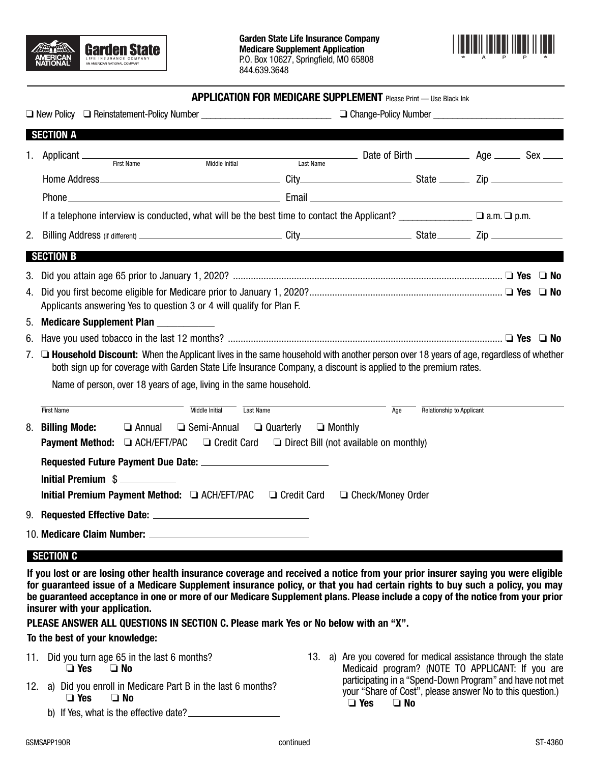



#### **APPLICATION FOR MEDICARE SUPPLEMENT** Please Print — Use Black Ink

| <b>SECTION A</b>                                                                                                                                                                                                                                                  |                                 |                     |                                  |  |  |  |
|-------------------------------------------------------------------------------------------------------------------------------------------------------------------------------------------------------------------------------------------------------------------|---------------------------------|---------------------|----------------------------------|--|--|--|
| 1. Applicant _____<br>First Name<br>Middle Initial                                                                                                                                                                                                                | Last Name                       |                     |                                  |  |  |  |
|                                                                                                                                                                                                                                                                   |                                 |                     |                                  |  |  |  |
|                                                                                                                                                                                                                                                                   |                                 |                     |                                  |  |  |  |
| If a telephone interview is conducted, what will be the best time to contact the Applicant? _______________ a.m. $\Box$ p.m.                                                                                                                                      |                                 |                     |                                  |  |  |  |
|                                                                                                                                                                                                                                                                   |                                 |                     |                                  |  |  |  |
| <b>SECTION B</b>                                                                                                                                                                                                                                                  |                                 |                     |                                  |  |  |  |
|                                                                                                                                                                                                                                                                   |                                 |                     |                                  |  |  |  |
| Applicants answering Yes to question 3 or 4 will qualify for Plan F.                                                                                                                                                                                              |                                 |                     |                                  |  |  |  |
| 5. Medicare Supplement Plan __________                                                                                                                                                                                                                            |                                 |                     |                                  |  |  |  |
|                                                                                                                                                                                                                                                                   |                                 |                     |                                  |  |  |  |
| 7. <b>□ Household Discount:</b> When the Applicant lives in the same household with another person over 18 years of age, regardless of whether<br>both sign up for coverage with Garden State Life Insurance Company, a discount is applied to the premium rates. |                                 |                     |                                  |  |  |  |
| Name of person, over 18 years of age, living in the same household.                                                                                                                                                                                               |                                 |                     |                                  |  |  |  |
| Middle Initial<br><b>First Name</b>                                                                                                                                                                                                                               | Last Name                       | Age                 | <b>Relationship to Applicant</b> |  |  |  |
| 8. Billing Mode:<br>□ Semi-Annual<br>$\Box$ Annual                                                                                                                                                                                                                | $\Box$ Quarterly $\Box$ Monthly |                     |                                  |  |  |  |
| <b>Payment Method:</b> $\Box$ ACH/EFT/PAC $\Box$ Credit Card $\Box$ Direct Bill (not available on monthly)                                                                                                                                                        |                                 |                     |                                  |  |  |  |
|                                                                                                                                                                                                                                                                   |                                 |                     |                                  |  |  |  |
| Initial Premium \$                                                                                                                                                                                                                                                |                                 |                     |                                  |  |  |  |
| Initial Premium Payment Method: □ ACH/EFT/PAC □ Credit Card                                                                                                                                                                                                       |                                 | □ Check/Money Order |                                  |  |  |  |
|                                                                                                                                                                                                                                                                   |                                 |                     |                                  |  |  |  |
|                                                                                                                                                                                                                                                                   |                                 |                     |                                  |  |  |  |
| SECTION C                                                                                                                                                                                                                                                         |                                 |                     |                                  |  |  |  |
| lf uan laat ay aya laabay athay haalth baanyanaa aanayaaya ayal yaashigal a yattaa fyaya nam wilay baanyay aanbay nan maya                                                                                                                                        |                                 |                     |                                  |  |  |  |

**If you lost or are losing other health insurance coverage and received a notice from your prior insurer saying you were eligible for guaranteed issue of a Medicare Supplement insurance policy, or that you had certain rights to buy such a policy, you may be guaranteed acceptance in one or more of our Medicare Supplement plans. Please include a copy of the notice from your prior insurer with your application.** 

**PLEASE ANSWER ALL QUESTIONS IN SECTION C. Please mark Yes or No below with an "X".**

#### **To the best of your knowledge:**

- 11. Did you turn age 65 in the last 6 months? ❏ **Yes** ❏ **No**
- 12. a) Did you enroll in Medicare Part B in the last 6 months? ❏ **Yes** ❏ **No**

b) If Yes, what is the effective date?

13. a) Are you covered for medical assistance through the state Medicaid program? (NOTE TO APPLICANT: If you are participating in a "Spend-Down Program" and have not met your "Share of Cost", please answer No to this question.)<br>  $\Box$  Yes  $\Box$  No ❏ **Yes** ❏ **No**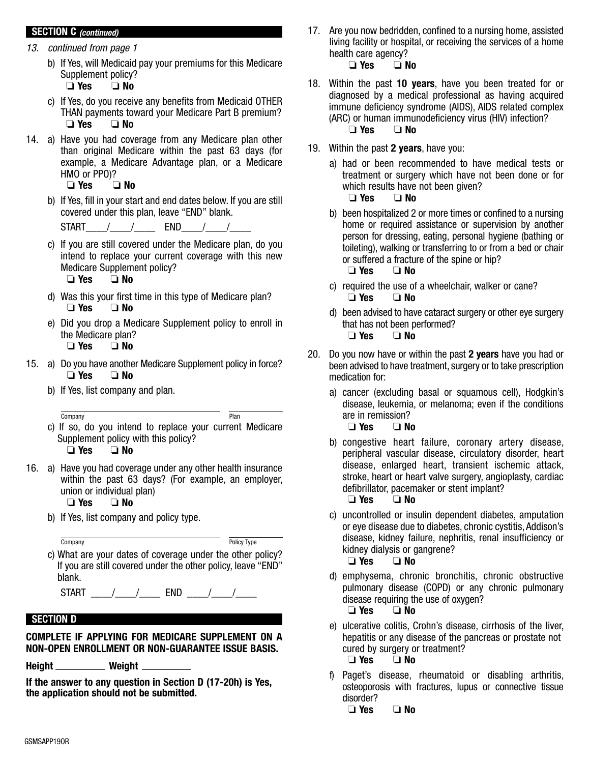## **SECTION C (continued)**

- 13. continued from page 1
	- b)If Yes, will Medicaid pay your premiums for this Medicare Supplement policy?<br> $\Box$  Yes  $\Box$  No
		- ❏ **Yes** ❏ **No**
	- c)If Yes, do you receive any benefits from Medicaid OTHER THAN payments toward your Medicare Part B premium? ❏ **Yes** ❏ **No**
- 14. a) Have you had coverage from any Medicare plan other than original Medicare within the past 63 days (for example, a Medicare Advantage plan, or a Medicare HMO or PPO)?

```
 ❏ Yes ❏ No
```
 b) If Yes, fill in your start and end dates below. If you are still covered under this plan, leave "END" blank.

 $START$  / / END / /

- c) If you are still covered under the Medicare plan, do you intend to replace your current coverage with this new Medicare Supplement policy?<br>  $\Box$  Yes  $\Box$  No ❏ **Yes** ❏ **No**
- d) Was this your first time in this type of Medicare plan? ❏ **Yes** ❏ **No**
- e) Did you drop a Medicare Supplement policy to enroll in the Medicare plan? ❏ **Yes** ❏ **No**
- 15. a) Do you have another Medicare Supplement policy in force? ❏ **Yes** ❏ **No**
	- b) If Yes, list company and plan.
	- c) If so, do you intend to replace your current Medicare Supplement policy with this policy?<br>  $\Box$  **Yes**  $\Box$  **No**  ❏ **Yes** ❏ **No** Company Plan
- 16. a) Have you had coverage under any other health insurance within the past 63 days? (For example, an employer, union or individual plan)

# ❏ **Yes** ❏ **No**

- b) If Yes, list company and policy type.
- c) What are your dates of coverage under the other policy? If you are still covered under the other policy, leave "END" blank. Company **Policy Type**

 $STAT$   $\frac{1}{2}$   $\frac{1}{2}$   $\frac{1}{2}$   $\frac{1}{2}$   $\frac{1}{2}$   $\frac{1}{2}$   $\frac{1}{2}$   $\frac{1}{2}$   $\frac{1}{2}$   $\frac{1}{2}$   $\frac{1}{2}$   $\frac{1}{2}$   $\frac{1}{2}$   $\frac{1}{2}$   $\frac{1}{2}$   $\frac{1}{2}$   $\frac{1}{2}$   $\frac{1}{2}$   $\frac{1}{2}$   $\frac{1}{2}$   $\frac{1}{2}$   $\frac{1}{2$ 

# **SECTION D**

## **COMPLETE IF APPLYING FOR MEDICARE SUPPLEMENT ON A NON-OPEN ENROLLMENT OR NON-GUARANTEE ISSUE BASIS.**

Height \_\_\_\_\_\_\_\_\_\_\_ Weight \_\_

**If the answer to any question in Section D (17-20h) is Yes, the application should not be submitted.**

- 17. Are you now bedridden, confined to a nursing home, assisted living facility or hospital, or receiving the services of a home health care agency?<br>  $\Box$  Yes  $\Box$  No ❏ **Yes** ❏ **No**
- 18. Within the past **10 years**, have you been treated for or diagnosed by a medical professional as having acquired immune deficiency syndrome (AIDS), AIDS related complex (ARC) or human immunodeficiency virus (HIV) infection? ❏ **Yes** ❏ **No**
- 19. Within the past **2 years**, have you:
	- a) had or been recommended to have medical tests or treatment or surgery which have not been done or for which results have not been given?<br> $\Box$  Yes  $\Box$  No

❏ **Yes** ❏ **No**

 b) been hospitalized 2 or more times or confined to a nursing home or required assistance or supervision by another person for dressing, eating, personal hygiene (bathing or toileting), walking or transferring to or from a bed or chair or suffered a fracture of the spine or hip?

❏ **Yes** ❏ **No** 

- c) required the use of a wheelchair, walker or cane? ❏ **Yes** ❏ **No**
- d) been advised to have cataract surgery or other eye surgery that has not been performed? ❏ **Yes** ❏ **No**
- 20. Do you now have or within the past **2 years** have you had or been advised to have treatment, surgery or to take prescription medication for:
	- a) cancer (excluding basal or squamous cell), Hodgkin's disease, leukemia, or melanoma; even if the conditions are in remission?
		- ❏ **Yes** ❏ **No**
	- b) congestive heart failure, coronary artery disease, peripheral vascular disease, circulatory disorder, heart disease, enlarged heart, transient ischemic attack, stroke, heart or heart valve surgery, angioplasty, cardiac defibrillator, pacemaker or stent implant?

❏ **Yes** ❏ **No** 

 c) uncontrolled or insulin dependent diabetes, amputation or eye disease due to diabetes, chronic cystitis, Addison's disease, kidney failure, nephritis, renal insufficiency or kidney dialysis or gangrene?

❏ **Yes** ❏ **No** 

- d) emphysema, chronic bronchitis, chronic obstructive pulmonary disease (COPD) or any chronic pulmonary disease requiring the use of oxygen?<br>  $\Box$  Yes  $\Box$  No ❏ **Yes** ❏ **No**
- e) ulcerative colitis, Crohn's disease, cirrhosis of the liver, hepatitis or any disease of the pancreas or prostate not cured by surgery or treatment? ❏ **Yes** ❏ **No**
- f) Paget's disease, rheumatoid or disabling arthritis, osteoporosis with fractures, lupus or connective tissue disorder?

❏ **Yes** ❏ **No**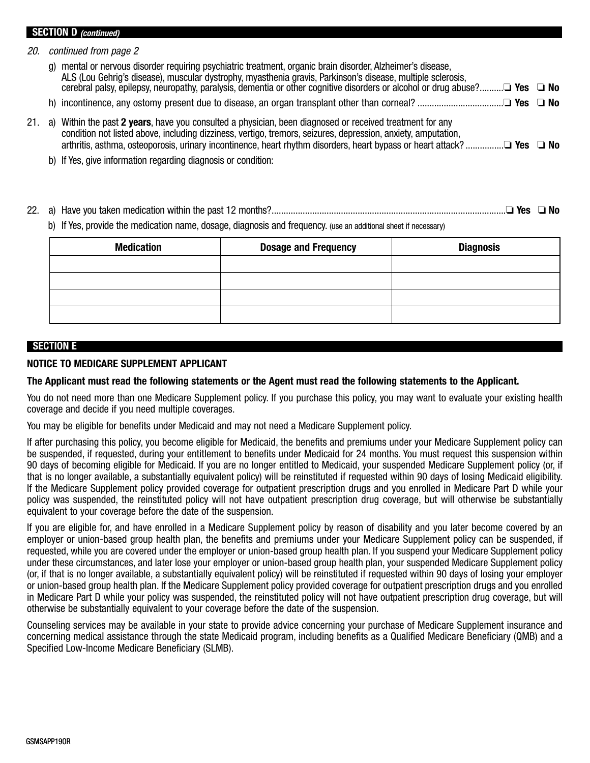#### **SECTION D (continued)**

20. continued from page 2

- g) mental or nervous disorder requiring psychiatric treatment, organic brain disorder, Alzheimer's disease, ALS (Lou Gehrig's disease), muscular dystrophy, myasthenia gravis, Parkinson's disease, multiple sclerosis, cerebral palsy, epilepsy, neuropathy, paralysis, dementia or other cognitive disorders or alcohol or drug abuse?..........❏ **Yes** ❏ **No**
- h) incontinence, any ostomy present due to disease, an organ transplant other than corneal? ....................................❏ **Yes** ❏ **No**
- 21. a) Within the past **2 years**, have you consulted a physician, been diagnosed or received treatment for any condition not listed above, including dizziness, vertigo, tremors, seizures, depression, anxiety, amputation, arthritis, asthma, osteoporosis, urinary incontinence, heart rhythm disorders, heart bypass or heart attack? ................❏ **Yes** ❏ **No**
	- b) If Yes, give information regarding diagnosis or condition:
- 22. a) Have you taken medication within the past 12 months?..................................................................................................❏ **Yes** ❏ **No**

b) If Yes, provide the medication name, dosage, diagnosis and frequency. (use an additional sheet if necessary)

| <b>Medication</b> | <b>Dosage and Frequency</b> | <b>Diagnosis</b> |
|-------------------|-----------------------------|------------------|
|                   |                             |                  |
|                   |                             |                  |
|                   |                             |                  |
|                   |                             |                  |

### **SECTION E**

## **NOTICE TO MEDICARE SUPPLEMENT APPLICANT**

### **The Applicant must read the following statements or the Agent must read the following statements to the Applicant.**

You do not need more than one Medicare Supplement policy. If you purchase this policy, you may want to evaluate your existing health coverage and decide if you need multiple coverages.

You may be eligible for benefits under Medicaid and may not need a Medicare Supplement policy.

If after purchasing this policy, you become eligible for Medicaid, the benefits and premiums under your Medicare Supplement policy can be suspended, if requested, during your entitlement to benefits under Medicaid for 24 months. You must request this suspension within 90 days of becoming eligible for Medicaid. If you are no longer entitled to Medicaid, your suspended Medicare Supplement policy (or, if that is no longer available, a substantially equivalent policy) will be reinstituted if requested within 90 days of losing Medicaid eligibility. If the Medicare Supplement policy provided coverage for outpatient prescription drugs and you enrolled in Medicare Part D while your policy was suspended, the reinstituted policy will not have outpatient prescription drug coverage, but will otherwise be substantially equivalent to your coverage before the date of the suspension.

If you are eligible for, and have enrolled in a Medicare Supplement policy by reason of disability and you later become covered by an employer or union-based group health plan, the benefits and premiums under your Medicare Supplement policy can be suspended, if requested, while you are covered under the employer or union-based group health plan. If you suspend your Medicare Supplement policy under these circumstances, and later lose your employer or union-based group health plan, your suspended Medicare Supplement policy (or, if that is no longer available, a substantially equivalent policy) will be reinstituted if requested within 90 days of losing your employer or union-based group health plan. If the Medicare Supplement policy provided coverage for outpatient prescription drugs and you enrolled in Medicare Part D while your policy was suspended, the reinstituted policy will not have outpatient prescription drug coverage, but will otherwise be substantially equivalent to your coverage before the date of the suspension.

Counseling services may be available in your state to provide advice concerning your purchase of Medicare Supplement insurance and concerning medical assistance through the state Medicaid program, including benefits as a Qualified Medicare Beneficiary (QMB) and a Specified Low-Income Medicare Beneficiary (SLMB).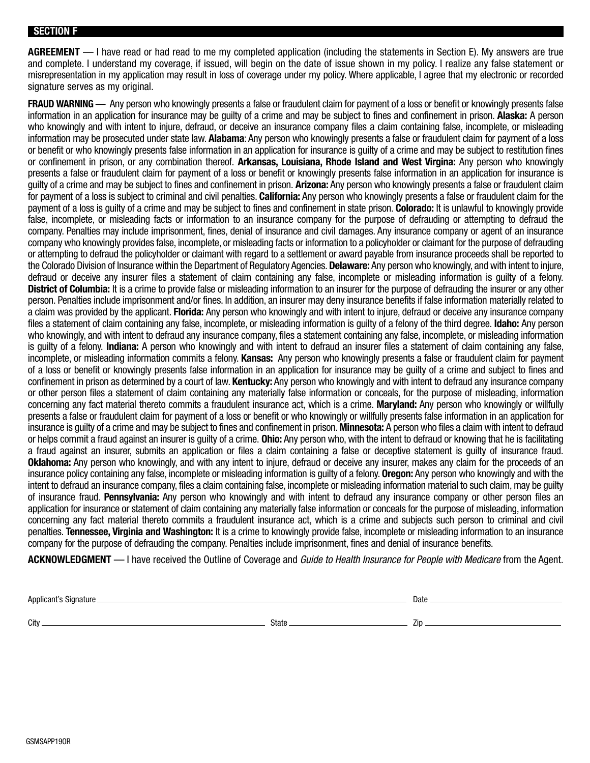#### **SECTION F**

**AGREEMENT** — I have read or had read to me my completed application (including the statements in Section E). My answers are true and complete. I understand my coverage, if issued, will begin on the date of issue shown in my policy. I realize any false statement or misrepresentation in my application may result in loss of coverage under my policy. Where applicable, I agree that my electronic or recorded signature serves as my original.

**FRAUD WARNING** — Any person who knowingly presents a false or fraudulent claim for payment of a loss or benefit or knowingly presents false information in an application for insurance may be guilty of a crime and may be subject to fines and confinement in prison. **Alaska:** A person who knowingly and with intent to injure, defraud, or deceive an insurance company files a claim containing false, incomplete, or misleading information may be prosecuted under state law. **Alabama**: Any person who knowingly presents a false or fraudulent claim for payment of a loss or benefit or who knowingly presents false information in an application for insurance is guilty of a crime and may be subject to restitution fines or confinement in prison, or any combination thereof. **Arkansas, Louisiana, Rhode Island and West Virgina:** Any person who knowingly presents a false or fraudulent claim for payment of a loss or benefit or knowingly presents false information in an application for insurance is guilty of a crime and may be subject to fines and confinement in prison. **Arizona:** Any person who knowingly presents a false or fraudulent claim for payment of a loss is subject to criminal and civil penalties. **California:** Any person who knowingly presents a false or fraudulent claim for the payment of a loss is guilty of a crime and may be subject to fines and confinement in state prison. **Colorado:** It is unlawful to knowingly provide false, incomplete, or misleading facts or information to an insurance company for the purpose of defrauding or attempting to defraud the company. Penalties may include imprisonment, fines, denial of insurance and civil damages. Any insurance company or agent of an insurance company who knowingly provides false, incomplete, or misleading facts or information to a policyholder or claimant for the purpose of defrauding or attempting to defraud the policyholder or claimant with regard to a settlement or award payable from insurance proceeds shall be reported to the Colorado Division of Insurance within the Department of Regulatory Agencies. **Delaware:** Any person who knowingly, and with intent to injure, defraud or deceive any insurer files a statement of claim containing any false, incomplete or misleading information is guilty of a felony. **District of Columbia:** It is a crime to provide false or misleading information to an insurer for the purpose of defrauding the insurer or any other person. Penalties include imprisonment and/or fines. In addition, an insurer may deny insurance benefits if false information materially related to a claim was provided by the applicant. **Florida:** Any person who knowingly and with intent to injure, defraud or deceive any insurance company files a statement of claim containing any false, incomplete, or misleading information is guilty of a felony of the third degree. **Idaho:** Any person who knowingly, and with intent to defraud any insurance company, files a statement containing any false, incomplete, or misleading information is guilty of a felony. **Indiana:** A person who knowingly and with intent to defraud an insurer files a statement of claim containing any false, incomplete, or misleading information commits a felony. **Kansas:** Any person who knowingly presents a false or fraudulent claim for payment of a loss or benefit or knowingly presents false information in an application for insurance may be guilty of a crime and subject to fines and confinement in prison as determined by a court of law. **Kentucky:** Any person who knowingly and with intent to defraud any insurance company or other person files a statement of claim containing any materially false information or conceals, for the purpose of misleading, information concerning any fact material thereto commits a fraudulent insurance act, which is a crime. **Maryland:** Any person who knowingly or willfully presents a false or fraudulent claim for payment of a loss or benefit or who knowingly or willfully presents false information in an application for insurance is guilty of a crime and may be subject to fines and confinement in prison. **Minnesota:** A person who files a claim with intent to defraud or helps commit a fraud against an insurer is guilty of a crime. **Ohio:** Any person who, with the intent to defraud or knowing that he is facilitating a fraud against an insurer, submits an application or files a claim containing a false or deceptive statement is guilty of insurance fraud. **Oklahoma:** Any person who knowingly, and with any intent to injure, defraud or deceive any insurer, makes any claim for the proceeds of an insurance policy containing any false, incomplete or misleading information is guilty of a felony. **Oregon:** Any person who knowingly and with the intent to defraud an insurance company, files a claim containing false, incomplete or misleading information material to such claim, may be guilty of insurance fraud. **Pennsylvania:** Any person who knowingly and with intent to defraud any insurance company or other person files an application for insurance or statement of claim containing any materially false information or conceals for the purpose of misleading, information concerning any fact material thereto commits a fraudulent insurance act, which is a crime and subjects such person to criminal and civil penalties. **Tennessee, Virginia and Washington:** It is a crime to knowingly provide false, incomplete or misleading information to an insurance company for the purpose of defrauding the company. Penalties include imprisonment, fines and denial of insurance benefits.

**ACKNOWLEDGMENT** — I have received the Outline of Coverage and Guide to Health Insurance for People with Medicare from the Agent.

Applicant's Signature **Date of the Contract of the Contract of the Contract of the Contract of the Contract of the Contract of the Contract of the Contract of the Contract of the Contract of the Contract of the Contract of** 

City State Zip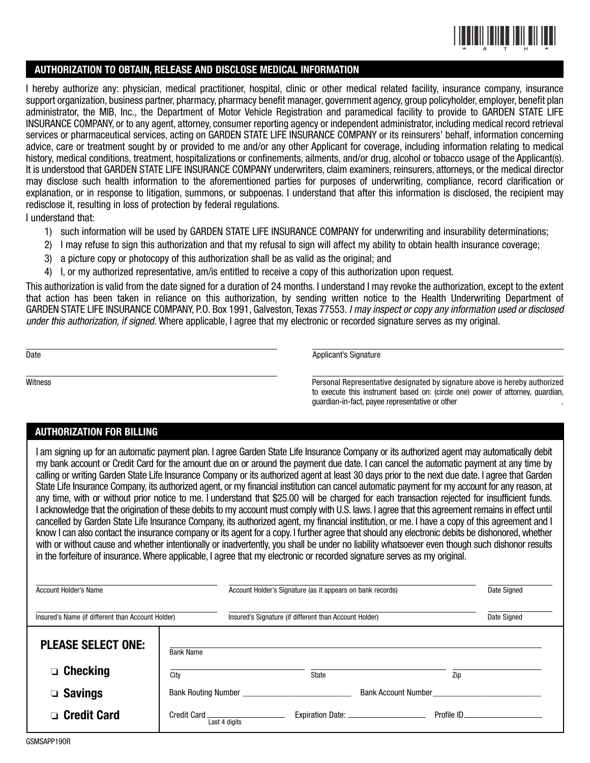

#### **AUTHORIZATION TO OBTAIN, RELEASE AND DISCLOSE MEDICAL INFORMATION**

I hereby authorize any: physician, medical practitioner, hospital, clinic or other medical related facility, insurance company, insurance support organization, business partner, pharmacy, pharmacy benefit manager, government agency, group policyholder, employer, benefit plan administrator, the MIB, Inc., the Department of Motor Vehicle Registration and paramedical facility to provide to GARDEN STATE LIFE INSURANCE COMPANY, or to any agent, attorney, consumer reporting agency or independent administrator, including medical record retrieval services or pharmaceutical services, acting on GARDEN STATE LIFE INSURANCE COMPANY or its reinsurers' behalf, information concerning advice, care or treatment sought by or provided to me and/or any other Applicant for coverage, including information relating to medical history, medical conditions, treatment, hospitalizations or confinements, ailments, and/or drug, alcohol or tobacco usage of the Applicant(s). It is understood that GARDEN STATE LIFE INSURANCE COMPANY underwriters, claim examiners, reinsurers, attorneys, or the medical director may disclose such health information to the aforementioned parties for purposes of underwriting, compliance, record clarification or explanation, or in response to litigation, summons, or subpoenas. I understand that after this information is disclosed, the recipient may redisclose it, resulting in loss of protection by federal regulations.

I understand that:

- 1) such information will be used by GARDEN STATE LIFE INSURANCE COMPANY for underwriting and insurability determinations;
- 2) I may refuse to sign this authorization and that my refusal to sign will affect my ability to obtain health insurance coverage;
- 3) a picture copy or photocopy of this authorization shall be as valid as the original; and
- 4) I, or my authorized representative, am/is entitled to receive a copy of this authorization upon request.

This authorization is valid from the date signed for a duration of 24 months. I understand I may revoke the authorization, except to the extent that action has been taken in reliance on this authorization, by sending written notice to the Health Underwriting Department of GARDEN STATE LIFE INSURANCE COMPANY, P.O. Box 1991, Galveston, Texas 77553. I may inspect or copy any information used or disclosed under this authorization, if signed. Where applicable, I agree that my electronic or recorded signature serves as my original.

Date **Applicant's Signature** 

Witness Personal Representative designated by signature above is hereby authorized to execute this instrument based on: (circle one) power of attorney, guardian, guardian-in-fact, payee representative or other\_\_\_\_\_\_\_\_\_\_\_\_\_\_\_\_\_\_\_\_\_\_\_\_ .

## **AUTHORIZATION FOR BILLING**

I am signing up for an automatic payment plan. I agree Garden State Life Insurance Company or its authorized agent may automatically debit my bank account or Credit Card for the amount due on or around the payment due date. I can cancel the automatic payment at any time by calling or writing Garden State Life Insurance Company or its authorized agent at least 30 days prior to the next due date. I agree that Garden State Life Insurance Company, its authorized agent, or my financial institution can cancel automatic payment for my account for any reason, at any time, with or without prior notice to me. I understand that \$25.00 will be charged for each transaction rejected for insufficient funds. I acknowledge that the origination of these debits to my account must comply with U.S. laws. I agree that this agreement remains in effect until cancelled by Garden State Life Insurance Company, its authorized agent, my financial institution, or me. I have a copy of this agreement and I know I can also contact the insurance company or its agent for a copy. I further agree that should any electronic debits be dishonored, whether with or without cause and whether intentionally or inadvertently, you shall be under no liability whatsoever even though such dishonor results in the forfeiture of insurance. Where applicable, I agree that my electronic or recorded signature serves as my original.

| Account Holder's Name                             |                                               | Account Holder's Signature (as it appears on bank records) | Date Signed         |     |
|---------------------------------------------------|-----------------------------------------------|------------------------------------------------------------|---------------------|-----|
| Insured's Name (if different than Account Holder) |                                               | Insured's Signature (if different than Account Holder)     | Date Signed         |     |
| <b>PLEASE SELECT ONE:</b>                         | <b>Bank Name</b>                              |                                                            |                     |     |
| $\Box$ Checking                                   | Citv                                          | State                                                      |                     | Zip |
| $\Box$ Savings                                    | Bank Routing Number                           |                                                            | Bank Account Number |     |
| □ Credit Card                                     | Credit Card ________________<br>Last 4 digits |                                                            | Profile ID_         |     |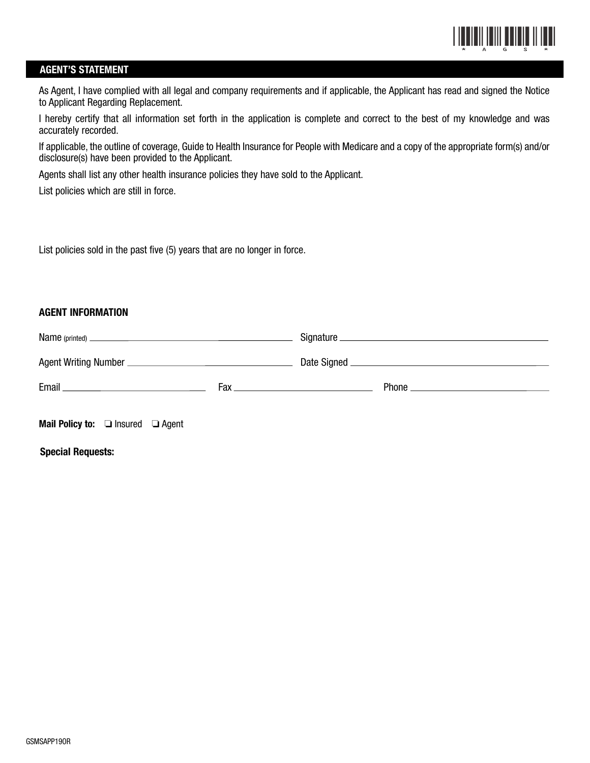

### **AGENT'S STATEMENT**

As Agent, I have complied with all legal and company requirements and if applicable, the Applicant has read and signed the Notice to Applicant Regarding Replacement.

I hereby certify that all information set forth in the application is complete and correct to the best of my knowledge and was accurately recorded.

If applicable, the outline of coverage, Guide to Health Insurance for People with Medicare and a copy of the appropriate form(s) and/or disclosure(s) have been provided to the Applicant.

Agents shall list any other health insurance policies they have sold to the Applicant.

List policies which are still in force.

List policies sold in the past five (5) years that are no longer in force.

## **AGENT INFORMATION**

| <b>Mail Policy to:</b> $\Box$ Insured $\Box$ Agent |  |  |  |  |  |
|----------------------------------------------------|--|--|--|--|--|

**Special Requests:**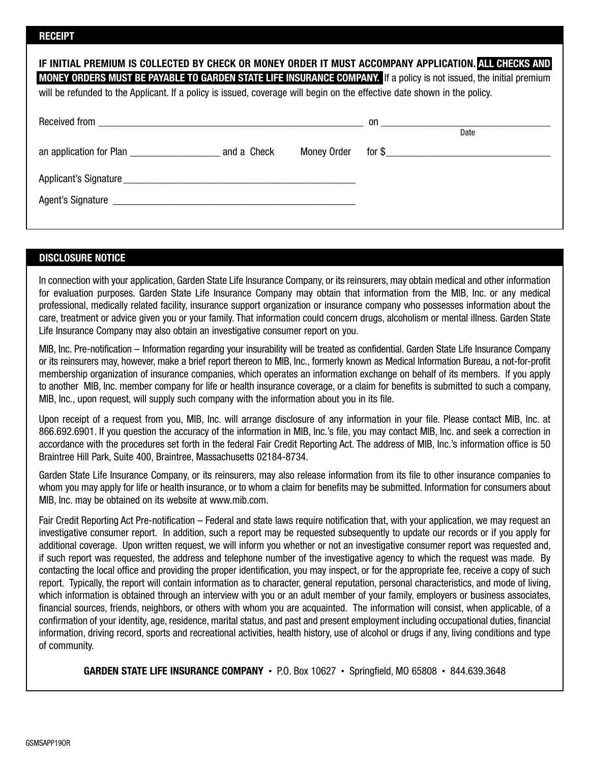| IF INITIAL PREMIUM IS COLLECTED BY CHECK OR MONEY ORDER IT MUST ACCOMPANY APPLICATION. ALL CHECKS AND<br>MONEY ORDERS MUST BE PAYABLE TO GARDEN STATE LIFE INSURANCE COMPANY. If a policy is not issued, the initial premium<br>will be refunded to the Applicant. If a policy is issued, coverage will begin on the effective date shown in the policy. |  |  |      |  |  |  |
|----------------------------------------------------------------------------------------------------------------------------------------------------------------------------------------------------------------------------------------------------------------------------------------------------------------------------------------------------------|--|--|------|--|--|--|
|                                                                                                                                                                                                                                                                                                                                                          |  |  | Date |  |  |  |
|                                                                                                                                                                                                                                                                                                                                                          |  |  |      |  |  |  |
| Applicant's Signature                                                                                                                                                                                                                                                                                                                                    |  |  |      |  |  |  |
|                                                                                                                                                                                                                                                                                                                                                          |  |  |      |  |  |  |

## **DISCLOSURE NOTICE**

In connection with your application, Garden State Life Insurance Company, or its reinsurers, may obtain medical and other information for evaluation purposes. Garden State Life Insurance Company may obtain that information from the MIB, Inc. or any medical professional, medically related facility, insurance support organization or insurance company who possesses information about the care, treatment or advice given you or your family. That information could concern drugs, alcoholism or mental illness. Garden State Life Insurance Company may also obtain an investigative consumer report on you.

MIB, Inc. Pre-notification – Information regarding your insurability will be treated as confidential. Garden State Life Insurance Company or its reinsurers may, however, make a brief report thereon to MIB, Inc., formerly known as Medical Information Bureau, a not-for-profit membership organization of insurance companies, which operates an information exchange on behalf of its members. If you apply to another MIB, Inc. member company for life or health insurance coverage, or a claim for benefits is submitted to such a company, MIB, Inc., upon request, will supply such company with the information about you in its file.

Upon receipt of a request from you, MIB, Inc. will arrange disclosure of any information in your file. Please contact MIB, Inc. at 866.692.6901. If you question the accuracy of the information in MIB, Inc.'s file, you may contact MIB, Inc. and seek a correction in accordance with the procedures set forth in the federal Fair Credit Reporting Act. The address of MIB, Inc.'s information office is 50 Braintree Hill Park, Suite 400, Braintree, Massachusetts 02184-8734.

Garden State Life Insurance Company, or its reinsurers, may also release information from its file to other insurance companies to whom you may apply for life or health insurance, or to whom a claim for benefits may be submitted. Information for consumers about MIB, Inc. may be obtained on its website at www.mib.com.

Fair Credit Reporting Act Pre-notification – Federal and state laws require notification that, with your application, we may request an investigative consumer report. In addition, such a report may be requested subsequently to update our records or if you apply for additional coverage. Upon written request, we will inform you whether or not an investigative consumer report was requested and, if such report was requested, the address and telephone number of the investigative agency to which the request was made. By contacting the local office and providing the proper identification, you may inspect, or for the appropriate fee, receive a copy of such report. Typically, the report will contain information as to character, general reputation, personal characteristics, and mode of living, which information is obtained through an interview with you or an adult member of your family, employers or business associates, financial sources, friends, neighbors, or others with whom you are acquainted. The information will consist, when applicable, of a confirmation of your identity, age, residence, marital status, and past and present employment including occupational duties, financial information, driving record, sports and recreational activities, health history, use of alcohol or drugs if any, living conditions and type of community.

**GARDEN STATE LIFE INSURANCE COMPANY** • P.O. Box 10627 • Springfield, MO 65808 • 844.639.3648